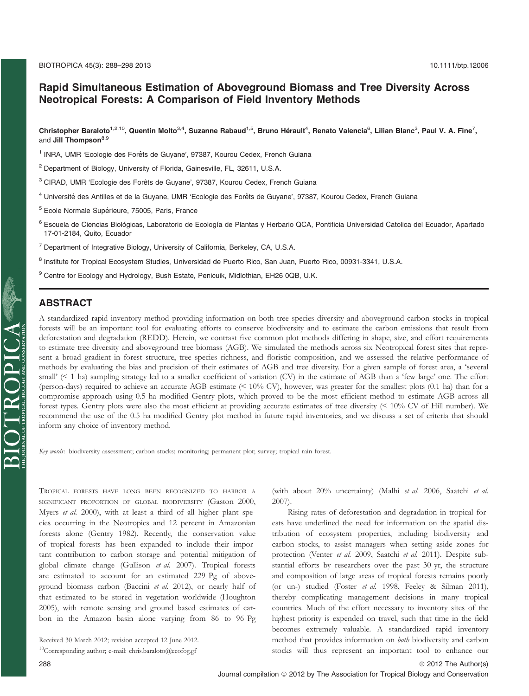# Rapid Simultaneous Estimation of Aboveground Biomass and Tree Diversity Across Neotropical Forests: A Comparison of Field Inventory Methods

Christopher Baraloto $^{1,2,10}$ , Quentin Molto $^{3,4}$ , Suzanne Rabaud $^{1.5}$ , Bruno Hérault $^4$ , Renato Valencia $^6$ , Lilian Blanc $^3$ , Paul V. A. Fine $^7$ , and Jill Thompson<sup>8,9</sup>

<sup>1</sup> INRA, UMR 'Ecologie des Forêts de Guyane', 97387, Kourou Cedex, French Guiana

- <sup>2</sup> Department of Biology, University of Florida, Gainesville, FL, 32611, U.S.A.
- <sup>3</sup> CIRAD, UMR 'Ecologie des Forêts de Guyane', 97387, Kourou Cedex, French Guiana
- <sup>4</sup> Université des Antilles et de la Guyane, UMR 'Ecologie des Forêts de Guyane', 97387, Kourou Cedex, French Guiana
- $5$  Ecole Normale Supérieure, 75005, Paris, France
- <sup>6</sup> Escuela de Ciencias Biológicas, Laboratorio de Ecología de Plantas y Herbario QCA, Pontificia Universidad Catolica del Ecuador, Apartado 17-01-2184, Quito, Ecuador
- <sup>7</sup> Department of Integrative Biology, University of California, Berkeley, CA, U.S.A.
- <sup>8</sup> Institute for Tropical Ecosystem Studies, Universidad de Puerto Rico, San Juan, Puerto Rico, 00931-3341, U.S.A.
- <sup>9</sup> Centre for Ecology and Hydrology, Bush Estate, Penicuik, Midlothian, EH26 0QB, U.K.

 $\mathrm{SIOTROPL} \prod_{\text{submax. of the model}} \mathrm{OPOOL} \bigcap_{\text{sub. of the model}} \mathrm{C.A.}$ ABSTRACT A standardized rapid inventory method providing information on both tree species diversity and aboveground carbon stocks in tropical forests will be an important tool for evaluating efforts to conserve biodiversity and to estimate the carbon emissions that result from deforestation and degradation (REDD). Herein, we contrast five common plot methods differing in shape, size, and effort requirements to estimate tree diversity and aboveground tree biomass (AGB). We simulated the methods across six Neotropical forest sites that represent a broad gradient in forest structure, tree species richness, and floristic composition, and we assessed the relative performance of methods by evaluating the bias and precision of their estimates of AGB and tree diversity. For a given sample of forest area, a 'several small' (< 1 ha) sampling strategy led to a smaller coefficient of variation (CV) in the estimate of AGB than a 'few large' one. The effort (person-days) required to achieve an accurate AGB estimate (< 10% CV), however, was greater for the smallest plots (0.1 ha) than for a compromise approach using 0.5 ha modified Gentry plots, which proved to be the most efficient method to estimate AGB across all forest types. Gentry plots were also the most efficient at providing accurate estimates of tree diversity (< 10% CV of Hill number). We recommend the use of the 0.5 ha modified Gentry plot method in future rapid inventories, and we discuss a set of criteria that should inform any choice of inventory method.

Key words: biodiversity assessment; carbon stocks; monitoring; permanent plot; survey; tropical rain forest.

TROPICAL FORESTS HAVE LONG BEEN RECOGNIZED TO HARBOR A SIGNIFICANT PROPORTION OF GLOBAL BIODIVERSITY (Gaston 2000, Myers et al. 2000), with at least a third of all higher plant species occurring in the Neotropics and 12 percent in Amazonian forests alone (Gentry 1982). Recently, the conservation value of tropical forests has been expanded to include their important contribution to carbon storage and potential mitigation of global climate change (Gullison et al. 2007). Tropical forests are estimated to account for an estimated 229 Pg of aboveground biomass carbon (Baccini et al. 2012), or nearly half of that estimated to be stored in vegetation worldwide (Houghton 2005), with remote sensing and ground based estimates of carbon in the Amazon basin alone varying from 86 to 96 Pg

(with about 20% uncertainty) (Malhi et al. 2006, Saatchi et al. 2007). Rising rates of deforestation and degradation in tropical for-

ests have underlined the need for information on the spatial distribution of ecosystem properties, including biodiversity and carbon stocks, to assist managers when setting aside zones for protection (Venter et al. 2009, Saatchi et al. 2011). Despite substantial efforts by researchers over the past 30 yr, the structure and composition of large areas of tropical forests remains poorly (or un-) studied (Foster et al. 1998, Feeley & Silman 2011), thereby complicating management decisions in many tropical countries. Much of the effort necessary to inventory sites of the highest priority is expended on travel, such that time in the field becomes extremely valuable. A standardized rapid inventory method that provides information on both biodiversity and carbon stocks will thus represent an important tool to enhance our

Received 30 March 2012; revision accepted 12 June 2012.  $10$ Corresponding author; e-mail: chris.baraloto@ecofog.gf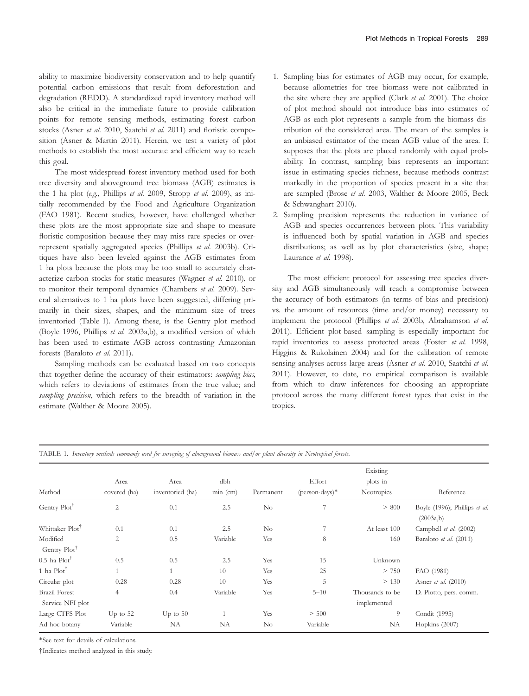ability to maximize biodiversity conservation and to help quantify potential carbon emissions that result from deforestation and degradation (REDD). A standardized rapid inventory method will also be critical in the immediate future to provide calibration points for remote sensing methods, estimating forest carbon stocks (Asner et al. 2010, Saatchi et al. 2011) and floristic composition (Asner & Martin 2011). Herein, we test a variety of plot methods to establish the most accurate and efficient way to reach this goal.

The most widespread forest inventory method used for both tree diversity and aboveground tree biomass (AGB) estimates is the 1 ha plot (e.g., Phillips et al. 2009, Stropp et al. 2009), as initially recommended by the Food and Agriculture Organization (FAO 1981). Recent studies, however, have challenged whether these plots are the most appropriate size and shape to measure floristic composition because they may miss rare species or overrepresent spatially aggregated species (Phillips et al. 2003b). Critiques have also been leveled against the AGB estimates from 1 ha plots because the plots may be too small to accurately characterize carbon stocks for static measures (Wagner et al. 2010), or to monitor their temporal dynamics (Chambers et al. 2009). Several alternatives to 1 ha plots have been suggested, differing primarily in their sizes, shapes, and the minimum size of trees inventoried (Table 1). Among these, is the Gentry plot method (Boyle 1996, Phillips et al. 2003a,b), a modified version of which has been used to estimate AGB across contrasting Amazonian forests (Baraloto et al. 2011).

Sampling methods can be evaluated based on two concepts that together define the accuracy of their estimators: sampling bias, which refers to deviations of estimates from the true value; and sampling precision, which refers to the breadth of variation in the estimate (Walther & Moore 2005).

- 1. Sampling bias for estimates of AGB may occur, for example, because allometries for tree biomass were not calibrated in the site where they are applied (Clark et al. 2001). The choice of plot method should not introduce bias into estimates of AGB as each plot represents a sample from the biomass distribution of the considered area. The mean of the samples is an unbiased estimator of the mean AGB value of the area. It supposes that the plots are placed randomly with equal probability. In contrast, sampling bias represents an important issue in estimating species richness, because methods contrast markedly in the proportion of species present in a site that are sampled (Brose et al. 2003, Walther & Moore 2005, Beck & Schwanghart 2010).
- 2. Sampling precision represents the reduction in variance of AGB and species occurrences between plots. This variability is influenced both by spatial variation in AGB and species distributions; as well as by plot characteristics (size, shape; Laurance et al. 1998).

The most efficient protocol for assessing tree species diversity and AGB simultaneously will reach a compromise between the accuracy of both estimators (in terms of bias and precision) vs. the amount of resources (time and/or money) necessary to implement the protocol (Phillips et al. 2003b, Abrahamson et al. 2011). Efficient plot-based sampling is especially important for rapid inventories to assess protected areas (Foster et al. 1998, Higgins & Rukolainen 2004) and for the calibration of remote sensing analyses across large areas (Asner et al. 2010, Saatchi et al. 2011). However, to date, no empirical comparison is available from which to draw inferences for choosing an appropriate protocol across the many different forest types that exist in the tropics.

| Method                                   | Area<br>covered (ha) | Area<br>inventoried (ha) | dbh<br>min (cm) | Permanent | Effort<br>$(\text{person-days})^*$ | Existing<br>plots in<br>Neotropics | Reference                                  |
|------------------------------------------|----------------------|--------------------------|-----------------|-----------|------------------------------------|------------------------------------|--------------------------------------------|
| Gentry Plot <sup>†</sup>                 | $\overline{c}$       | 0.1                      | 2.5             | No        | 7                                  | > 800                              | Boyle (1996); Phillips et al.<br>(2003a,b) |
| Whittaker Plot <sup>T</sup>              | 0.1                  | 0.1                      | 2.5             | $\rm No$  |                                    | At least 100                       | Campbell et al. (2002)                     |
| Modified<br>Gentry Plot <sup>†</sup>     | 2                    | 0.5                      | Variable        | Yes       | 8                                  | 160                                | Baraloto et al. (2011)                     |
| $0.5$ ha Plot <sup>†</sup>               | 0.5                  | 0.5                      | 2.5             | Yes       | 15                                 | Unknown                            |                                            |
| 1 ha $Plot^{\dagger}$                    |                      |                          | 10              | Yes       | 25                                 | > 750                              | FAO (1981)                                 |
| Circular plot                            | 0.28                 | 0.28                     | 10              | Yes       | 5                                  | > 130                              | Asner et al. (2010)                        |
| <b>Brazil Forest</b><br>Service NFI plot | 4                    | 0.4                      | Variable        | Yes       | $5 - 10$                           | Thousands to be<br>implemented     | D. Piotto, pers. comm.                     |
| Large CTFS Plot                          | Up to $52$           | Up to $50$               |                 | Yes       | > 500                              | 9                                  | Condit (1995)                              |
| Ad hoc botany                            | Variable             | NA                       | NA              | $\rm No$  | Variable                           | NA                                 | Hopkins (2007)                             |

\*See text for details of calculations.

†Indicates method analyzed in this study.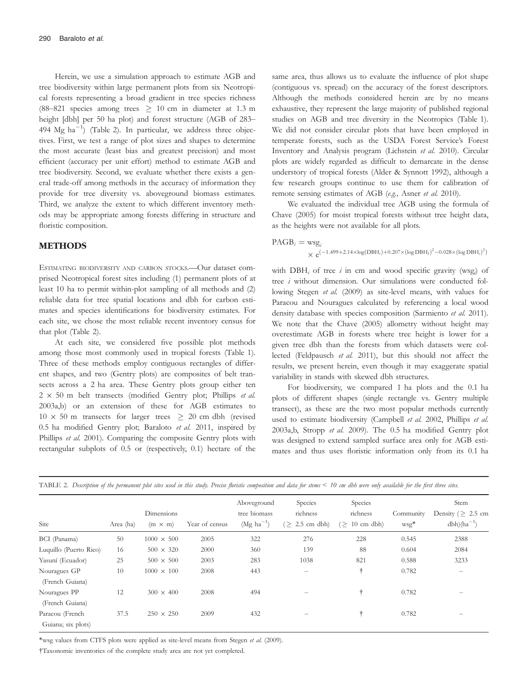Herein, we use a simulation approach to estimate AGB and tree biodiversity within large permanent plots from six Neotropical forests representing a broad gradient in tree species richness (88–821 species among trees  $\geq$  10 cm in diameter at 1.3 m height [dbh] per 50 ha plot) and forest structure (AGB of 283– 494  $Mg$  ha<sup>-1</sup>) (Table 2). In particular, we address three objectives. First, we test a range of plot sizes and shapes to determine the most accurate (least bias and greatest precision) and most efficient (accuracy per unit effort) method to estimate AGB and tree biodiversity. Second, we evaluate whether there exists a general trade-off among methods in the accuracy of information they provide for tree diversity vs. aboveground biomass estimates. Third, we analyze the extent to which different inventory methods may be appropriate among forests differing in structure and floristic composition.

## METHODS

ESTIMATING BIODIVERSITY AND CARBON STOCKS.—Our dataset comprised Neotropical forest sites including (1) permanent plots of at least 10 ha to permit within-plot sampling of all methods and (2) reliable data for tree spatial locations and dbh for carbon estimates and species identifications for biodiversity estimates. For each site, we chose the most reliable recent inventory census for that plot (Table 2).

At each site, we considered five possible plot methods among those most commonly used in tropical forests (Table 1). Three of these methods employ contiguous rectangles of different shapes, and two (Gentry plots) are composites of belt transects across a 2 ha area. These Gentry plots group either ten  $2 \times 50$  m belt transects (modified Gentry plot; Phillips et al. 2003a,b) or an extension of these for AGB estimates to  $10 \times 50$  m transects for larger trees  $\geq 20$  cm dbh (revised 0.5 ha modified Gentry plot; Baraloto et al. 2011, inspired by Phillips et al. 2001). Comparing the composite Gentry plots with rectangular subplots of 0.5 or (respectively, 0.1) hectare of the same area, thus allows us to evaluate the influence of plot shape (contiguous vs. spread) on the accuracy of the forest descriptors. Although the methods considered herein are by no means exhaustive, they represent the large majority of published regional studies on AGB and tree diversity in the Neotropics (Table 1). We did not consider circular plots that have been employed in temperate forests, such as the USDA Forest Service's Forest Inventory and Analysis program (Lichstein et al. 2010). Circular plots are widely regarded as difficult to demarcate in the dense understory of tropical forests (Alder & Synnott 1992), although a few research groups continue to use them for calibration of remote sensing estimates of AGB (e.g., Asner et al. 2010).

We evaluated the individual tree AGB using the formula of Chave (2005) for moist tropical forests without tree height data, as the heights were not available for all plots.

 $PAGB_i = wsg$  $\times e^{(-1.499 + 2.14 \times \log(DBH_i) + 0.207 \times (\log DBH_I)^2 - 0.028 \times (\log DBH_i)^2)}$ 

with  $DBH_i$  of tree i in cm and wood specific gravity (wsg<sub>i</sub>) of tree i without dimension. Our simulations were conducted following Stegen et al. (2009) as site-level means, with values for Paracou and Nouragues calculated by referencing a local wood density database with species composition (Sarmiento et al. 2011). We note that the Chave (2005) allometry without height may overestimate AGB in forests where tree height is lower for a given tree dbh than the forests from which datasets were collected (Feldpausch et al. 2011), but this should not affect the results, we present herein, even though it may exaggerate spatial variability in stands with skewed dbh structures.

For biodiversity, we compared 1 ha plots and the 0.1 ha plots of different shapes (single rectangle vs. Gentry multiple transect), as these are the two most popular methods currently used to estimate biodiversity (Campbell et al. 2002, Phillips et al. 2003a,b, Stropp et al. 2009). The 0.5 ha modified Gentry plot was designed to extend sampled surface area only for AGB estimates and thus uses floristic information only from its 0.1 ha

| Site                                  | Area (ha) | Dimensions<br>$(m \times m)$ | Year of census | Aboveground<br>tree biomass<br>$(Mg ha^{-1})$ | Species<br>richness<br>$(> 2.5$ cm dbh)                                   | Species<br>richness<br>$(> 10$ cm dbh) | Community<br>$wsg^*$ | Stem<br>Density ( $\geq 2.5$ cm<br>$dbh)(ha^{-1})$ |
|---------------------------------------|-----------|------------------------------|----------------|-----------------------------------------------|---------------------------------------------------------------------------|----------------------------------------|----------------------|----------------------------------------------------|
| BCI (Panama)                          | 50        | $1000 \times 500$            | 2005           | 322                                           | 276                                                                       | 228                                    | 0.545                | 2388                                               |
| Luquillo (Puerto Rico)                | 16        | $500 \times 320$             | 2000           | 360                                           | 139                                                                       | 88                                     | 0.604                | 2084                                               |
| Yasuní (Ecuador)                      | 25        | $500 \times 500$             | 2003           | 283                                           | 1038                                                                      | 821                                    | 0.588                | 3233                                               |
| Nouragues GP<br>(French Guiana)       | 10        | $1000 \times 100$            | 2008           | 443                                           | $\overline{\phantom{0}}$                                                  | ÷                                      | 0.782                | $\overline{\phantom{m}}$                           |
| Nouragues PP<br>(French Guiana)       | 12        | $300 \times 400$             | 2008           | 494                                           | $\hspace{1.0cm} \rule{1.5cm}{0.15cm} \hspace{1.0cm} \rule{1.5cm}{0.15cm}$ | ÷                                      | 0.782                | -                                                  |
| Paracou (French<br>Guiana; six plots) | 37.5      | $250 \times 250$             | 2009           | 432                                           |                                                                           | ÷                                      | 0.782                |                                                    |

TABLE 2. Description of the permanent plot sites used in this study. Precise floristic composition and data for stems < 10 cm dbh were only available for the first three sites.

\*wsg values from CTFS plots were applied as site-level means from Stegen et al. (2009).

†Taxonomic inventories of the complete study area are not yet completed.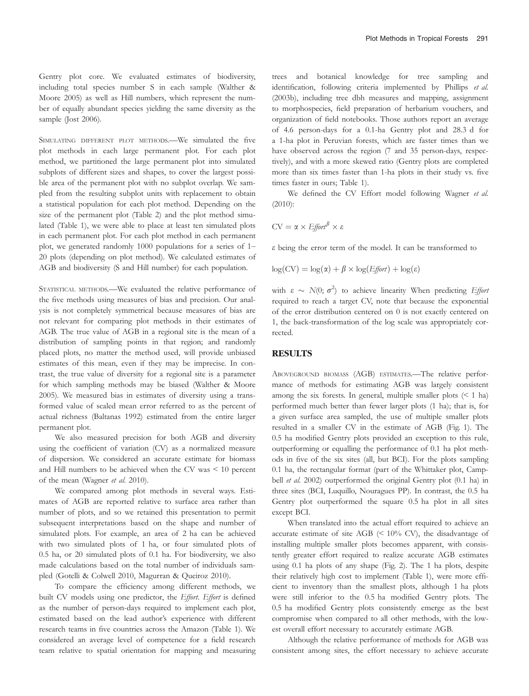Gentry plot core. We evaluated estimates of biodiversity, including total species number S in each sample (Walther & Moore 2005) as well as Hill numbers, which represent the number of equally abundant species yielding the same diversity as the sample (Jost 2006).

SIMULATING DIFFERENT PLOT METHODS.—We simulated the five plot methods in each large permanent plot. For each plot method, we partitioned the large permanent plot into simulated subplots of different sizes and shapes, to cover the largest possible area of the permanent plot with no subplot overlap. We sampled from the resulting subplot units with replacement to obtain a statistical population for each plot method. Depending on the size of the permanent plot (Table 2) and the plot method simulated (Table 1), we were able to place at least ten simulated plots in each permanent plot. For each plot method in each permanent plot, we generated randomly 1000 populations for a series of 1– 20 plots (depending on plot method). We calculated estimates of AGB and biodiversity (S and Hill number) for each population.

STATISTICAL METHODS.—We evaluated the relative performance of the five methods using measures of bias and precision. Our analysis is not completely symmetrical because measures of bias are not relevant for comparing plot methods in their estimates of AGB. The true value of AGB in a regional site is the mean of a distribution of sampling points in that region; and randomly placed plots, no matter the method used, will provide unbiased estimates of this mean, even if they may be imprecise. In contrast, the true value of diversity for a regional site is a parameter for which sampling methods may be biased (Walther & Moore 2005). We measured bias in estimates of diversity using a transformed value of scaled mean error referred to as the percent of actual richness (Baltanas 1992) estimated from the entire larger permanent plot.

We also measured precision for both AGB and diversity using the coefficient of variation (CV) as a normalized measure of dispersion. We considered an accurate estimate for biomass and Hill numbers to be achieved when the CV was < 10 percent of the mean (Wagner et al. 2010).

We compared among plot methods in several ways. Estimates of AGB are reported relative to surface area rather than number of plots, and so we retained this presentation to permit subsequent interpretations based on the shape and number of simulated plots. For example, an area of 2 ha can be achieved with two simulated plots of 1 ha, or four simulated plots of 0.5 ha, or 20 simulated plots of 0.1 ha. For biodiversity, we also made calculations based on the total number of individuals sampled (Gotelli & Colwell 2010, Magurran & Queiroz 2010).

To compare the efficiency among different methods, we built CV models using one predictor, the Effort. Effort is defined as the number of person-days required to implement each plot, estimated based on the lead author's experience with different research teams in five countries across the Amazon (Table 1). We considered an average level of competence for a field research team relative to spatial orientation for mapping and measuring trees and botanical knowledge for tree sampling and identification, following criteria implemented by Phillips et al. (2003b), including tree dbh measures and mapping, assignment to morphospecies, field preparation of herbarium vouchers, and organization of field notebooks. Those authors report an average of 4.6 person-days for a 0.1-ha Gentry plot and 28.3 d for a 1-ha plot in Peruvian forests, which are faster times than we have observed across the region (7 and 35 person-days, respectively), and with a more skewed ratio (Gentry plots are completed more than six times faster than 1-ha plots in their study vs. five times faster in ours; Table 1).

We defined the CV Effort model following Wagner et al. (2010):

$$
CV = \alpha \times Effect^{\beta} \times \varepsilon
$$

 $\varepsilon$  being the error term of the model. It can be transformed to

$$
\log(CV) = \log(\alpha) + \beta \times \log(E) \text{ for } t) + \log(\varepsilon)
$$

with  $\varepsilon \sim N(0; \sigma^2)$  to achieve linearity When predicting *Effort* required to reach a target CV, note that because the exponential of the error distribution centered on 0 is not exactly centered on 1, the back-transformation of the log scale was appropriately corrected.

## **RESULTS**

ABOVEGROUND BIOMASS (AGB) ESTIMATES.—The relative performance of methods for estimating AGB was largely consistent among the six forests. In general, multiple smaller plots  $($  1 ha) performed much better than fewer larger plots (1 ha); that is, for a given surface area sampled, the use of multiple smaller plots resulted in a smaller CV in the estimate of AGB (Fig. 1). The 0.5 ha modified Gentry plots provided an exception to this rule, outperforming or equalling the performance of 0.1 ha plot methods in five of the six sites (all, but BCI). For the plots sampling 0.1 ha, the rectangular format (part of the Whittaker plot, Campbell et al. 2002) outperformed the original Gentry plot (0.1 ha) in three sites (BCI, Luquillo, Nouragues PP). In contrast, the 0.5 ha Gentry plot outperformed the square 0.5 ha plot in all sites except BCI.

When translated into the actual effort required to achieve an accurate estimate of site AGB  $\langle 510\% \text{ CV} \rangle$ , the disadvantage of installing multiple smaller plots becomes apparent, with consistently greater effort required to realize accurate AGB estimates using 0.1 ha plots of any shape (Fig. 2). The 1 ha plots, despite their relatively high cost to implement (Table 1), were more efficient to inventory than the smallest plots, although 1 ha plots were still inferior to the 0.5 ha modified Gentry plots. The 0.5 ha modified Gentry plots consistently emerge as the best compromise when compared to all other methods, with the lowest overall effort necessary to accurately estimate AGB.

Although the relative performance of methods for AGB was consistent among sites, the effort necessary to achieve accurate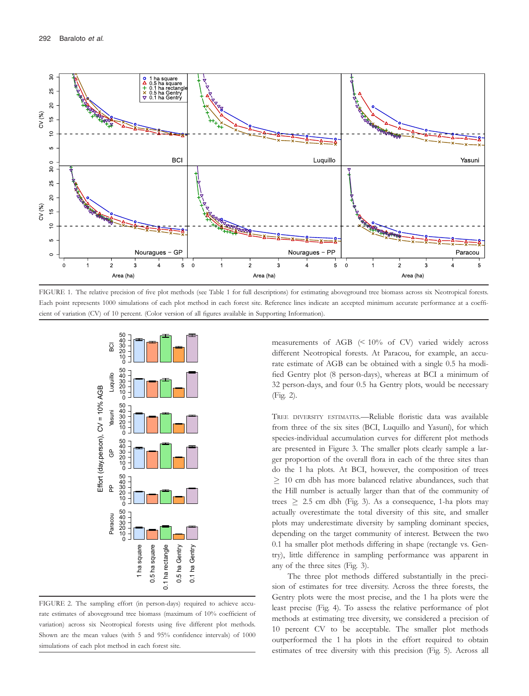

FIGURE 1. The relative precision of five plot methods (see Table 1 for full descriptions) for estimating aboveground tree biomass across six Neotropical forests. Each point represents 1000 simulations of each plot method in each forest site. Reference lines indicate an accepted minimum accurate performance at a coefficient of variation (CV) of 10 percent. (Color version of all figures available in Supporting Information).



FIGURE 2. The sampling effort (in person-days) required to achieve accurate estimates of aboveground tree biomass (maximum of 10% coefficient of variation) across six Neotropical forests using five different plot methods. Shown are the mean values (with 5 and 95% confidence intervals) of 1000 simulations of each plot method in each forest site.

measurements of AGB (< 10% of CV) varied widely across different Neotropical forests. At Paracou, for example, an accurate estimate of AGB can be obtained with a single 0.5 ha modified Gentry plot (8 person-days), whereas at BCI a minimum of 32 person-days, and four 0.5 ha Gentry plots, would be necessary (Fig. 2).

TREE DIVERSITY ESTIMATES.—Reliable floristic data was available from three of the six sites (BCI, Luquillo and Yasuní), for which species-individual accumulation curves for different plot methods are presented in Figure 3. The smaller plots clearly sample a larger proportion of the overall flora in each of the three sites than do the 1 ha plots. At BCI, however, the composition of trees  $\geq$  10 cm dbh has more balanced relative abundances, such that the Hill number is actually larger than that of the community of trees  $\geq$  2.5 cm dbh (Fig. 3). As a consequence, 1-ha plots may actually overestimate the total diversity of this site, and smaller plots may underestimate diversity by sampling dominant species, depending on the target community of interest. Between the two 0.1 ha smaller plot methods differing in shape (rectangle vs. Gentry), little difference in sampling performance was apparent in any of the three sites (Fig. 3).

The three plot methods differed substantially in the precision of estimates for tree diversity. Across the three forests, the Gentry plots were the most precise, and the 1 ha plots were the least precise (Fig. 4). To assess the relative performance of plot methods at estimating tree diversity, we considered a precision of 10 percent CV to be acceptable. The smaller plot methods outperformed the 1 ha plots in the effort required to obtain estimates of tree diversity with this precision (Fig. 5). Across all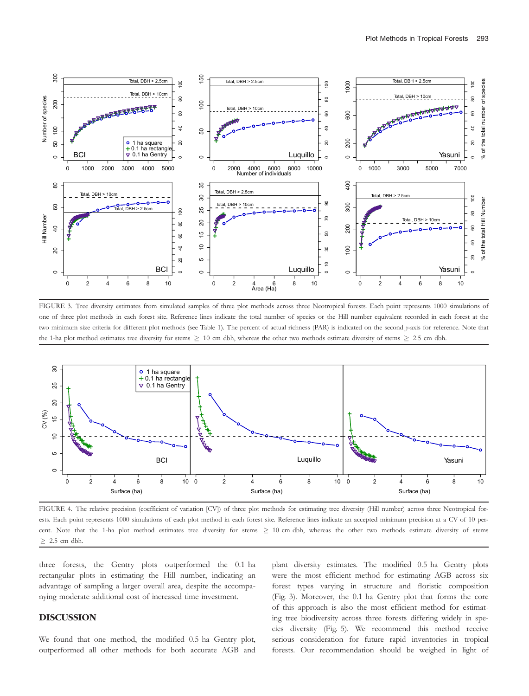

FIGURE 3. Tree diversity estimates from simulated samples of three plot methods across three Neotropical forests. Each point represents 1000 simulations of one of three plot methods in each forest site. Reference lines indicate the total number of species or the Hill number equivalent recorded in each forest at the two minimum size criteria for different plot methods (see Table 1). The percent of actual richness (PAR) is indicated on the second y-axis for reference. Note that the 1-ha plot method estimates tree diversity for stems  $\geq 10$  cm dbh, whereas the other two methods estimate diversity of stems  $\geq 2.5$  cm dbh.



FIGURE 4. The relative precision (coefficient of variation [CV]) of three plot methods for estimating tree diversity (Hill number) across three Neotropical forests. Each point represents 1000 simulations of each plot method in each forest site. Reference lines indicate an accepted minimum precision at a CV of 10 percent. Note that the 1-ha plot method estimates tree diversity for stems  $\geq$  10 cm dbh, whereas the other two methods estimate diversity of stems  $\geq$  2.5 cm dbh.

three forests, the Gentry plots outperformed the 0.1 ha rectangular plots in estimating the Hill number, indicating an advantage of sampling a larger overall area, despite the accompanying moderate additional cost of increased time investment.

### DISCUSSION

We found that one method, the modified 0.5 ha Gentry plot, outperformed all other methods for both accurate AGB and plant diversity estimates. The modified 0.5 ha Gentry plots were the most efficient method for estimating AGB across six forest types varying in structure and floristic composition (Fig. 3). Moreover, the 0.1 ha Gentry plot that forms the core of this approach is also the most efficient method for estimating tree biodiversity across three forests differing widely in species diversity (Fig. 5). We recommend this method receive serious consideration for future rapid inventories in tropical forests. Our recommendation should be weighed in light of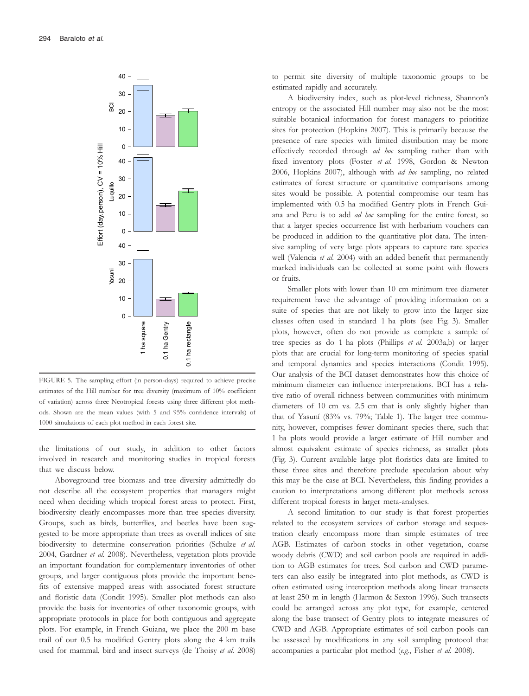

FIGURE 5. The sampling effort (in person-days) required to achieve precise estimates of the Hill number for tree diversity (maximum of 10% coefficient of variation) across three Neotropical forests using three different plot methods. Shown are the mean values (with 5 and 95% confidence intervals) of 1000 simulations of each plot method in each forest site.

the limitations of our study, in addition to other factors involved in research and monitoring studies in tropical forests that we discuss below.

Aboveground tree biomass and tree diversity admittedly do not describe all the ecosystem properties that managers might need when deciding which tropical forest areas to protect. First, biodiversity clearly encompasses more than tree species diversity. Groups, such as birds, butterflies, and beetles have been suggested to be more appropriate than trees as overall indices of site biodiversity to determine conservation priorities (Schulze et al. 2004, Gardner et al. 2008). Nevertheless, vegetation plots provide an important foundation for complementary inventories of other groups, and larger contiguous plots provide the important benefits of extensive mapped areas with associated forest structure and floristic data (Condit 1995). Smaller plot methods can also provide the basis for inventories of other taxonomic groups, with appropriate protocols in place for both contiguous and aggregate plots. For example, in French Guiana, we place the 200 m base trail of our 0.5 ha modified Gentry plots along the 4 km trails used for mammal, bird and insect surveys (de Thoisy et al. 2008)

to permit site diversity of multiple taxonomic groups to be estimated rapidly and accurately.

A biodiversity index, such as plot-level richness, Shannon's entropy or the associated Hill number may also not be the most suitable botanical information for forest managers to prioritize sites for protection (Hopkins 2007). This is primarily because the presence of rare species with limited distribution may be more effectively recorded through ad hoc sampling rather than with fixed inventory plots (Foster et al. 1998, Gordon & Newton 2006, Hopkins 2007), although with ad hoc sampling, no related estimates of forest structure or quantitative comparisons among sites would be possible. A potential compromise our team has implemented with 0.5 ha modified Gentry plots in French Guiana and Peru is to add ad hoc sampling for the entire forest, so that a larger species occurrence list with herbarium vouchers can be produced in addition to the quantitative plot data. The intensive sampling of very large plots appears to capture rare species well (Valencia et al. 2004) with an added benefit that permanently marked individuals can be collected at some point with flowers or fruits.

Smaller plots with lower than 10 cm minimum tree diameter requirement have the advantage of providing information on a suite of species that are not likely to grow into the larger size classes often used in standard 1 ha plots (see Fig. 3). Smaller plots, however, often do not provide as complete a sample of tree species as do 1 ha plots (Phillips et al. 2003a,b) or larger plots that are crucial for long-term monitoring of species spatial and temporal dynamics and species interactions (Condit 1995). Our analysis of the BCI dataset demonstrates how this choice of minimum diameter can influence interpretations. BCI has a relative ratio of overall richness between communities with minimum diameters of 10 cm vs. 2.5 cm that is only slightly higher than that of Yasuní (83% vs. 79%; Table 1). The larger tree community, however, comprises fewer dominant species there, such that 1 ha plots would provide a larger estimate of Hill number and almost equivalent estimate of species richness, as smaller plots (Fig. 3). Current available large plot floristics data are limited to these three sites and therefore preclude speculation about why this may be the case at BCI. Nevertheless, this finding provides a caution to interpretations among different plot methods across different tropical forests in larger meta-analyses.

A second limitation to our study is that forest properties related to the ecosystem services of carbon storage and sequestration clearly encompass more than simple estimates of tree AGB. Estimates of carbon stocks in other vegetation, coarse woody debris (CWD) and soil carbon pools are required in addition to AGB estimates for trees. Soil carbon and CWD parameters can also easily be integrated into plot methods, as CWD is often estimated using interception methods along linear transects at least 250 m in length (Harmon & Sexton 1996). Such transects could be arranged across any plot type, for example, centered along the base transect of Gentry plots to integrate measures of CWD and AGB. Appropriate estimates of soil carbon pools can be assessed by modifications in any soil sampling protocol that accompanies a particular plot method (e.g., Fisher et al. 2008).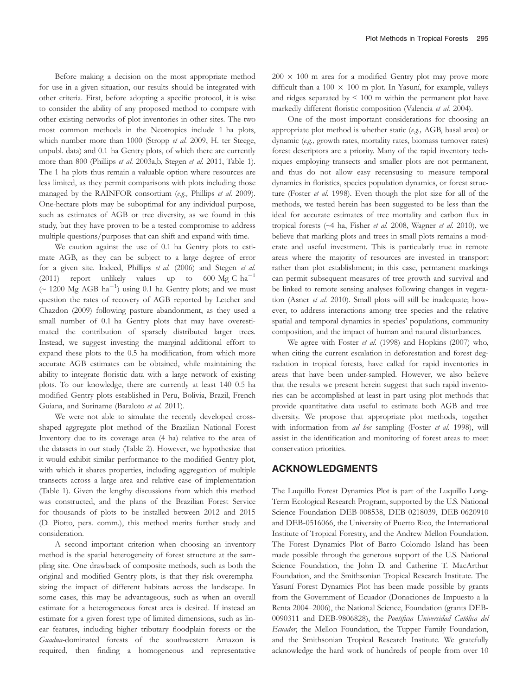Before making a decision on the most appropriate method for use in a given situation, our results should be integrated with other criteria. First, before adopting a specific protocol, it is wise to consider the ability of any proposed method to compare with other existing networks of plot inventories in other sites. The two most common methods in the Neotropics include 1 ha plots, which number more than 1000 (Stropp et al. 2009, H. ter Steege, unpubl. data) and 0.1 ha Gentry plots, of which there are currently more than 800 (Phillips et al. 2003a,b, Stegen et al. 2011, Table 1). The 1 ha plots thus remain a valuable option where resources are less limited, as they permit comparisons with plots including those managed by the RAINFOR consortium (e.g., Phillips et al. 2009). One-hectare plots may be suboptimal for any individual purpose, such as estimates of AGB or tree diversity, as we found in this study, but they have proven to be a tested compromise to address multiple questions/purposes that can shift and expand with time.

We caution against the use of 0.1 ha Gentry plots to estimate AGB, as they can be subject to a large degree of error for a given site. Indeed, Phillips et al. (2006) and Stegen et al. (2011) report unlikely values up to 600 Mg C  $ha^{-1}$  $($   $\sim$  1200 Mg AGB ha<sup>-1</sup>) using 0.1 ha Gentry plots; and we must question the rates of recovery of AGB reported by Letcher and Chazdon (2009) following pasture abandonment, as they used a small number of 0.1 ha Gentry plots that may have overestimated the contribution of sparsely distributed larger trees. Instead, we suggest investing the marginal additional effort to expand these plots to the 0.5 ha modification, from which more accurate AGB estimates can be obtained, while maintaining the ability to integrate floristic data with a large network of existing plots. To our knowledge, there are currently at least 140 0.5 ha modified Gentry plots established in Peru, Bolivia, Brazil, French Guiana, and Suriname (Baraloto et al. 2011).

We were not able to simulate the recently developed crossshaped aggregate plot method of the Brazilian National Forest Inventory due to its coverage area (4 ha) relative to the area of the datasets in our study (Table 2). However, we hypothesize that it would exhibit similar performance to the modified Gentry plot, with which it shares properties, including aggregation of multiple transects across a large area and relative ease of implementation (Table 1). Given the lengthy discussions from which this method was constructed, and the plans of the Brazilian Forest Service for thousands of plots to be installed between 2012 and 2015 (D. Piotto, pers. comm.), this method merits further study and consideration.

A second important criterion when choosing an inventory method is the spatial heterogeneity of forest structure at the sampling site. One drawback of composite methods, such as both the original and modified Gentry plots, is that they risk overemphasizing the impact of different habitats across the landscape. In some cases, this may be advantageous, such as when an overall estimate for a heterogeneous forest area is desired. If instead an estimate for a given forest type of limited dimensions, such as linear features, including higher tributary floodplain forests or the Guadua-dominated forests of the southwestern Amazon is required, then finding a homogeneous and representative

 $200 \times 100$  m area for a modified Gentry plot may prove more difficult than a  $100 \times 100$  m plot. In Yasuní, for example, valleys and ridges separated by < 100 m within the permanent plot have markedly different floristic composition (Valencia et al. 2004).

One of the most important considerations for choosing an appropriate plot method is whether static (e.g., AGB, basal area) or dynamic (e.g., growth rates, mortality rates, biomass turnover rates) forest descriptors are a priority. Many of the rapid inventory techniques employing transects and smaller plots are not permanent, and thus do not allow easy recensusing to measure temporal dynamics in floristics, species population dynamics, or forest structure (Foster et al. 1998). Even though the plot size for all of the methods, we tested herein has been suggested to be less than the ideal for accurate estimates of tree mortality and carbon flux in tropical forests (~4 ha, Fisher et al. 2008, Wagner et al. 2010), we believe that marking plots and trees in small plots remains a moderate and useful investment. This is particularly true in remote areas where the majority of resources are invested in transport rather than plot establishment; in this case, permanent markings can permit subsequent measures of tree growth and survival and be linked to remote sensing analyses following changes in vegetation (Asner et al. 2010). Small plots will still be inadequate; however, to address interactions among tree species and the relative spatial and temporal dynamics in species' populations, community composition, and the impact of human and natural disturbances.

We agree with Foster et al. (1998) and Hopkins (2007) who, when citing the current escalation in deforestation and forest degradation in tropical forests, have called for rapid inventories in areas that have been under-sampled. However, we also believe that the results we present herein suggest that such rapid inventories can be accomplished at least in part using plot methods that provide quantitative data useful to estimate both AGB and tree diversity. We propose that appropriate plot methods, together with information from ad hoc sampling (Foster et al. 1998), will assist in the identification and monitoring of forest areas to meet conservation priorities.

### ACKNOWLEDGMENTS

The Luquillo Forest Dynamics Plot is part of the Luquillo Long-Term Ecological Research Program, supported by the U.S. National Science Foundation DEB-008538, DEB-0218039, DEB-0620910 and DEB-0516066, the University of Puerto Rico, the International Institute of Tropical Forestry, and the Andrew Mellon Foundation. The Forest Dynamics Plot of Barro Colorado Island has been made possible through the generous support of the U.S. National Science Foundation, the John D. and Catherine T. MacArthur Foundation, and the Smithsonian Tropical Research Institute. The Yasuní Forest Dynamics Plot has been made possible by grants from the Government of Ecuador (Donaciones de Impuesto a la Renta 2004–2006), the National Science, Foundation (grants DEB-0090311 and DEB-9806828), the Pontificia Universidad Católica del Ecuador, the Mellon Foundation, the Tupper Family Foundation, and the Smithsonian Tropical Research Institute. We gratefully acknowledge the hard work of hundreds of people from over 10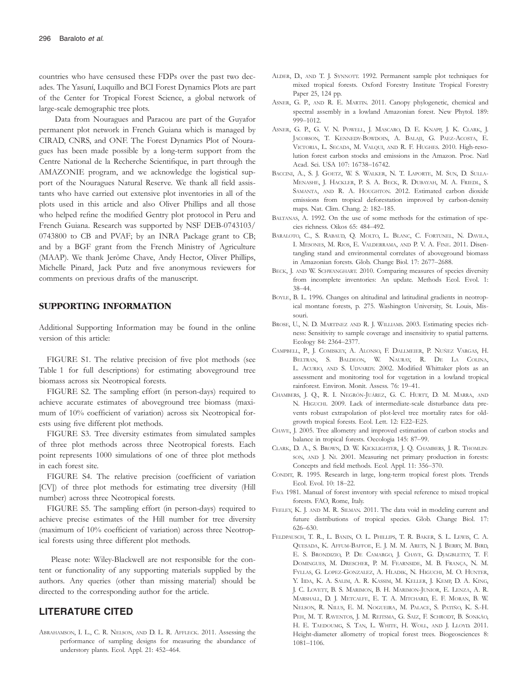countries who have censused these FDPs over the past two decades. The Yasuní, Luquillo and BCI Forest Dynamics Plots are part of the Center for Tropical Forest Science, a global network of large-scale demographic tree plots.

Data from Nouragues and Paracou are part of the Guyafor permanent plot network in French Guiana which is managed by CIRAD, CNRS, and ONF. The Forest Dynamics Plot of Nouragues has been made possible by a long-term support from the Centre National de la Recherche Scientifique, in part through the AMAZONIE program, and we acknowledge the logistical support of the Nouragues Natural Reserve. We thank all field assistants who have carried out extensive plot inventories in all of the plots used in this article and also Oliver Phillips and all those who helped refine the modified Gentry plot protocol in Peru and French Guiana. Research was supported by NSF DEB-0743103/ 0743800 to CB and PVAF; by an INRA Package grant to CB; and by a BGF grant from the French Ministry of Agriculture (MAAP). We thank Jerôme Chave, Andy Hector, Oliver Phillips, Michelle Pinard, Jack Putz and five anonymous reviewers for comments on previous drafts of the manuscript.

#### SUPPORTING INFORMATION

Additional Supporting Information may be found in the online version of this article:

FIGURE S1. The relative precision of five plot methods (see Table 1 for full descriptions) for estimating aboveground tree biomass across six Neotropical forests.

FIGURE S2. The sampling effort (in person-days) required to achieve accurate estimates of aboveground tree biomass (maximum of 10% coefficient of variation) across six Neotropical forests using five different plot methods.

FIGURE S3. Tree diversity estimates from simulated samples of three plot methods across three Neotropical forests. Each point represents 1000 simulations of one of three plot methods in each forest site.

FIGURE S4. The relative precision (coefficient of variation [CV]) of three plot methods for estimating tree diversity (Hill number) across three Neotropical forests.

FIGURE S5. The sampling effort (in person-days) required to achieve precise estimates of the Hill number for tree diversity (maximum of 10% coefficient of variation) across three Neotropical forests using three different plot methods.

Please note: Wiley-Blackwell are not responsible for the content or functionality of any supporting materials supplied by the authors. Any queries (other than missing material) should be directed to the corresponding author for the article.

## LITERATURE CITED

ABRAHAMSON, I. L., C. R. NELSON, AND D. L. R. AFFLECK. 2011. Assessing the performance of sampling designs for measuring the abundance of understory plants. Ecol. Appl. 21: 452–464.

- ALDER, D., AND T. J. SYNNOTT. 1992. Permanent sample plot techniques for mixed tropical forests. Oxford Forestry Institute Tropical Forestry Paper 25, 124 pp.
- ASNER, G. P., AND R. E. MARTIN. 2011. Canopy phylogenetic, chemical and spectral assembly in a lowland Amazonian forest. New Phytol. 189: 999–1012.
- ASNER, G. P., G. V. N. POWELL, J. MASCARO, D. E. KNAPP, J. K. CLARK, J. JACOBSON, T. KENNEDY-BOWDOIN, A. BALAJI, G. PAEZ-ACOSTA, E. VICTORIA, L. SECADA, M. VALQUI, AND R. F. HUGHES. 2010. High-resolution forest carbon stocks and emissions in the Amazon. Proc. Natl Acad. Sci. USA 107: 16738–16742.
- BACCINI, A., S. J. GOETZ, W. S. WALKER, N. T. LAPORTE, M. SUN, D. SULLA-MENASHE, J. HACKLER, P. S. A. BECK, R. DUBAYAH, M. A. FRIEDL, S. SAMANTA, AND R. A. HOUGHTON. 2012. Estimated carbon dioxide emissions from tropical deforestation improved by carbon-density maps. Nat. Clim. Chang. 2: 182–185.
- BALTANAS, A. 1992. On the use of some methods for the estimation of species richness. Oikos 65: 484–492.
- BARALOTO, C., S. RABAUD, Q. MOLTO, L. BLANC, C. FORTUNEL, N. DAVILA, I. MESONES, M. RIOS, E. VALDERRAMA, AND P. V. A. FINE. 2011. Disentangling stand and environmental correlates of aboveground biomass in Amazonian forests. Glob. Change Biol. 17: 2677–2688.
- BECK, J. AND W. SCHWANGHART. 2010. Comparing measures of species diversity from incomplete inventories: An update. Methods Ecol. Evol. 1: 38–44.
- BOYLE, B. L. 1996. Changes on altitudinal and latitudinal gradients in neotropical montane forests, p. 275. Washington University, St. Louis, Missouri.
- BROSE, U., N. D. MARTINEZ AND R. J. WILLIAMS. 2003. Estimating species richness: Sensitivity to sample coverage and insensitivity to spatial patterns. Ecology 84: 2364–2377.
- CAMPBELL, P., J. COMISKEY, A. ALONSO, F. DALLMEIER, P. NUÑEZ VARGAS, H. BELTRAN, S. BALDEON, W. NAURAY, R. DE LA COLINA, L. ACURIO, AND S. UDVARDY. 2002. Modified Whittaker plots as an assessment and monitoring tool for vegetation in a lowland tropical rainforest. Environ. Monit. Assess. 76: 19–41.
- CHAMBERS, J. Q., R. I. NEGRÓN-JUÁREZ, G. C. HURTT, D. M. MARRA, AND N. HIGUCHI. 2009. Lack of intermediate-scale disturbance data prevents robust extrapolation of plot-level tree mortality rates for oldgrowth tropical forests. Ecol. Lett. 12: E22–E25.
- CHAVE, J. 2005. Tree allometry and improved estimation of carbon stocks and balance in tropical forests. Oecologia 145: 87–99.
- CLARK, D. A., S. BROWN, D. W. KICKLIGHTER, J. Q. CHAMBERS, J. R. THOMLIN-SON, AND J. NI. 2001. Measuring net primary production in forests: Concepts and field methods. Ecol. Appl. 11: 356–370.
- CONDIT, R. 1995. Research in large, long-term tropical forest plots. Trends Ecol. Evol. 10: 18–22.
- FAO. 1981. Manual of forest inventory with special reference to mixed tropical forests. FAO, Rome, Italy.
- FEELEY, K. J. AND M. R. SILMAN. 2011. The data void in modeling current and future distributions of tropical species. Glob. Change Biol. 17: 626–630.
- FELDPAUSCH, T. R., L. BANIN, O. L. PHILLIPS, T. R. BAKER, S. L. LEWIS, C. A. QUESADA, K. AFFUM-BAFFOE, E. J. M. M. ARETS, N. J. BERRY, M. BIRD, E. S. BRONDIZIO, P. DE CAMARGO, J. CHAVE, G. DJAGBLETEY, T. F. DOMINGUES, M. DRESCHER, P. M. FEARNSIDE, M. B. FRANÇA, N. M. FYLLAS, G. LOPEZ-GONZALEZ, A. HLADIK, N. HIGUCHI, M. O. HUNTER, Y. IIDA, K. A. SALIM, A. R. KASSIM, M. KELLER, J. KEMP, D. A. KING, J. C. LOVETT, B. S. MARIMON, B. H. MARIMON-JUNIOR, E. LENZA, A. R. MARSHALL, D. J. METCALFE, E. T. A. MITCHARD, E. F. MORAN, B. W. NELSON, R. NILUS, E. M. NOGUEIRA, M. PALACE, S. PATIÑO, K. S.-H. PEH, M. T. RAVENTOS, J. M. REITSMA, G. SAIZ, F. SCHRODT, B. SONKÃO, H. E. TAEDOUMG, S. TAN, L. WHITE, H. WOLL, AND J. LLOYD. 2011. Height-diameter allometry of tropical forest trees. Biogeosciences 8: 1081–1106.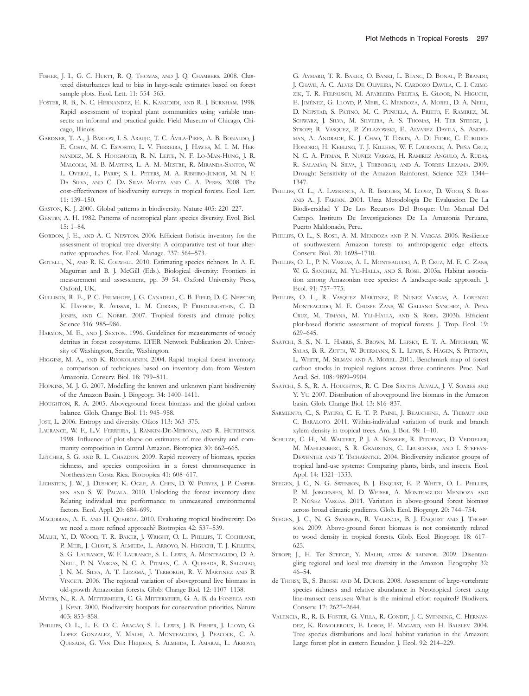- FISHER, J. I., G. C. HURTT, R. Q. THOMAS, AND J. Q. CHAMBERS. 2008. Clustered disturbances lead to bias in large-scale estimates based on forest sample plots. Ecol. Lett. 11: 554–563.
- FOSTER, R. B., N. C. HERNANDEZ, E. K. KAKUDIDI, AND R. J. BURNHAM. 1998. Rapid assessment of tropical plant communities using variable transects: an informal and practical guide. Field Museum of Chicago, Chicago, Illinois.
- GARDNER, T. A., J. BARLOW, I. S. ARAUJO, T. C. ÁVILA-PIRES, A. B. BONALDO, J. E. COSTA, M. C. ESPOSITO, L. V. FERREIRA, J. HAWES, M. I. M. HER-NANDEZ, M. S. HOOGMOED, R. N. LEITE, N. F. LO-MAN-HUNG, J. R. MALCOLM, M. B. MARTINS, L. A. M. MESTRE, R. MIRANDA-SANTOS, W. L. OVERAL, L. PARRY, S. L. PETERS, M. A. RIBEIRO-JUNIOR, M. N. F. DA SILVA, AND C. DA SILVA MOTTA AND C. A. PERES. 2008. The cost-effectiveness of biodiversity surveys in tropical forests. Ecol. Lett. 11: 139–150.
- GASTON, K. J. 2000. Global patterns in biodiversity. Nature 405: 220–227.
- GENTRY, A. H. 1982. Patterns of neotropical plant species diversity. Evol. Biol. 15: 1–84.
- GORDON, J. E., AND A. C. NEWTON. 2006. Efficient floristic inventory for the assessment of tropical tree diversity: A comparative test of four alternative approaches. For. Ecol. Manage. 237: 564–573.
- GOTELLI, N., AND R. K. COLWELL. 2010. Estimating species richness. In A. E. Magurran and B. J. McGill (Eds.). Biological diversity: Frontiers in measurement and assessment, pp. 39–54. Oxford University Press, Oxford, UK.
- GULLISON, R. E., P. C. FRUMHOFF, J. G. CANADELL, C. B. FIELD, D. C. NEPSTAD, K. HAYHOE, R. AVISSAR, L. M. CURRAN, P. FRIEDLINGSTEIN, C. D. JONES, AND C. NOBRE. 2007. Tropical forests and climate policy. Science 316: 985–986.
- HARMON, M. E., AND J. SEXTON. 1996. Guidelines for measurements of woody detritus in forest ecosystems. LTER Network Publication 20. University of Washington, Seattle, Washington.
- HIGGINS, M. A., AND K. RUOKOLAINEN. 2004. Rapid tropical forest inventory: a comparison of techniques based on inventory data from Western Amazonia. Conserv. Biol. 18: 799–811.
- HOPKINS, M. J. G. 2007. Modelling the known and unknown plant biodiversity of the Amazon Basin. J. Biogeogr. 34: 1400–1411.
- HOUGHTON, R. A. 2005. Aboveground forest biomass and the global carbon balance. Glob. Change Biol. 11: 945–958.
- JOST, L. 2006. Entropy and diversity. Oikos 113: 363–375.
- LAURANCE, W. F., L.V. FERREIRA, J. RANKIN-DE-MERONA, AND R. HUTCHINGS. 1998. Influence of plot shape on estimates of tree diversity and community composition in Central Amazon. Biotropica 30: 662–665.
- LETCHER, S. G. AND R. L. CHAZDON. 2009. Rapid recovery of biomass, species richness, and species composition in a forest chronosequence in Northeastern Costa Rica. Biotropica 41: 608–617.
- LICHSTEIN, J. W., J. DUSHOFF, K. OGLE, A. CHEN, D. W. PURVES, J. P. CASPER-SEN AND S. W. PACALA. 2010. Unlocking the forest inventory data: Relating individual tree performance to unmeasured environmental factors. Ecol. Appl. 20: 684–699.
- MAGURRAN, A. E. AND H. QUEIROZ. 2010. Evaluating tropical biodiversity: Do we need a more refined approach? Biotropica 42: 537–539.
- MALHI, Y., D. WOOD, T. R. BAKER, J. WRIGHT, O. L. PHILLIPS, T. COCHRANE, P. MEIR, J. CHAVE, S. ALMEIDA, L. ARROYO, N. HIGUCHI, T. J. KILLEEN, S. G. LAURANCE, W. F. LAURANCE, S. L. LEWIS, A. MONTEAGUDO, D. A. NEILL, P. N. VARGAS, N. C. A. PITMAN, C. A. QUESADA, R. SALOMAO, J. N. M. SILVA, A. T. LEZAMA, J. TERBORGH, R. V. MARTINEZ AND B. VINCETI. 2006. The regional variation of aboveground live biomass in old-growth Amazonian forests. Glob. Change Biol. 12: 1107–1138.
- MYERS, N., R. A. MITTERMEIER, C. G. MITTERMEIER, G. A. B. da FONSECA AND J. KENT. 2000. Biodiversity hotspots for conservation priorities. Nature 403: 853–858.
- PHILLIPS, O. L., L. E. O. C. ARAGÃO, S. L. LEWIS, J. B. FISHER, J. LLOYD, G. LOPEZ GONZALEZ, Y. MALHI, A. MONTEAGUDO, J. PEACOCK, C. A. QUESADA, G. VAN DER HEIJDEN, S. ALMEIDA, I. AMARAL, L. ARROYO,

G. AYMARD, T. R. BAKER, O. BANKI, L. BLANC, D. BONAL, P. BRANDO, J. CHAVE, A. C. ALVES DE OLIVEIRA, N. CARDOZO DAVILA, C. I. CZIMC-ZIK, T. R. FELPAUSCH, M. APARECIDA FREITAS, E. GLOOR, N. HIGUCHI, E. JIMÉNEZ, G. LLOYD, P. MEIR, C. MENDOZA, A. MOREL, D. A. NEILL, D. NEPSTAD, S. PATINÕ, M. C. PEÑUELA, A. PRIETO, F. RAMIREZ, M. SCHWARZ, J. SILVA, M. SILVEIRA, A. S. THOMAS, H. TER STEEGE, J. STROPP, R. VASQUEZ, P. ZELAZOWSKI, E. ALVAREZ DAVILA, S. ANDEL-MAN, A. ANDRADE, K. J. CHAO, T. ERWIN, A. DI FIORE, C. EURIDICE HONORIO, H. KEELING, T. J. KILLEEN, W. F. LAURANCE, A. PEÑA CRUZ, N. C. A. PITMAN, P. NUÑEZ VARGAS, H. RAMIREZ ANGULO, A. RUDAS, R. SALAMÃO, N. SILVA, J. TERBORGH, AND A. TORRES LEZAMA. 2009. Drought Sensitivity of the Amazon Rainforest. Science 323: 1344– 1347.

- PHILLIPS, O. L., A. LAWRENCE, A. R. ISMODES, M. LOPEZ, D. WOOD, S. ROSE AND A. J. FARFAN. 2001. Uma Metodologia De Evaluacion De La Biodiversidad Y De Los Recursos Del Bosque: Um Manual Del Campo. Instituto De Investigaciones De La Amazonia Peruana, Puerto Maldonado, Peru.
- PHILLIPS, O. L., S. ROSE, A. M. MENDOZA AND P. N. VARGAS. 2006. Resilience of southwestern Amazon forests to anthropogenic edge effects. Conserv. Biol. 20: 1698–1710.
- PHILLIPS, O. L., P. N. VARGAS, A. L. MONTEAGUDO, A. P. CRUZ, M. E. C. ZANS, W. G. SANCHEZ, M. YLI-HALLA, AND S. ROSE. 2003a. Habitat association among Amazonian tree species: A landscape-scale approach. J. Ecol. 91: 757–775.
- PHILLIPS, O. L., R. VASQUEZ MARTINEZ, P. NUNEZ VARGAS, A. LORENZO MONTEAGUDO, M. E. CHUSPE ZANS, W. GALIANO SANCHEZ, A. PENA CRUZ, M. TIMANA, M. YLI-HALLA, AND S. ROSE. 2003b. Efficient plot-based floristic assessment of tropical forests. J. Trop. Ecol. 19: 629–645.
- SAATCHI, S. S., N. L. HARRIS, S. BROWN, M. LEFSKY, E. T. A. MITCHARD, W. SALAS, B. R. ZUTTA, W. BUERMANN, S. L. LEWIS, S. HAGEN, S. PETROVA, L. WHITE, M. SILMAN AND A. MOREL. 2011. Benchmark map of forest carbon stocks in tropical regions across three continents. Proc. Natl Acad. Sci. 108: 9899–9904.
- SAATCHI, S. S., R. A. HOUGHTON, R. C. Dos SANTOS ALVALA, J. V. SOARES AND Y. YU. 2007. Distribution of aboveground live biomass in the Amazon basin. Glob. Change Biol. 13: 816–837.
- SARMIENTO, C., S. PATIÑO, C. E. T. P. PAINE, J. BEAUCHENE, A. THIBAUT AND C. BARALOTO. 2011. Within-individual variation of trunk and branch xylem density in tropical trees. Am. J. Bot. 98: 1–10.
- SCHULZE, C. H., M. WALTERT, P. J. A. KESSLER, R. PITOPANG, D. VEDDELER, M. MAHLENBERG, S. R. GRADSTEIN, C. LEUSCHNER, AND I. STEFFAN-DEWENTER AND T. TSCHARNTKE. 2004. Biodiversity indicator groups of tropical land-use systems: Comparing plants, birds, and insects. Ecol. Appl. 14: 1321–1333.
- STEGEN, J. C., N. G. SWENSON, B. J. ENQUIST, E. P. WHITE, O. L. PHILLIPS, P. M. JØRGENSEN, M. D. WEISER, A. MONTEAGUDO MENDOZA AND P. NÚÑEZ VARGAS. 2011. Variation in above-ground forest biomass across broad climatic gradients. Glob. Ecol. Biogeogr. 20: 744–754.
- STEGEN, J. C., N. G. SWENSON, R. VALENCIA, B. J. ENQUIST AND J. THOMPson. 2009. Above-ground forest biomass is not consistently related to wood density in tropical forests. Glob. Ecol. Biogeogr. 18: 617– 625.
- STROPP, J., H. Ter STEEGE, Y. MALHI, ATDN & RAINFOR. 2009. Disentangling regional and local tree diversity in the Amazon. Ecography 32: 46–54.
- de THOISY, B., S. BROSSE AND M. DUBOIS. 2008. Assessment of large-vertebrate species richness and relative abundance in Neotropical forest using line-transect censuses: What is the minimal effort required? Biodivers. Conserv. 17: 2627–2644.
- VALENCIA, R., R. B. FOSTER, G. VILLA, R. CONDIT, J. C. SVENNING, C. HERNAN-DEZ, K. ROMOLEROUX, E. LOSOS, E. MAGARD, AND H. BALSLEV. 2004. Tree species distributions and local habitat variation in the Amazon: Large forest plot in eastern Ecuador. J. Ecol. 92: 214–229.